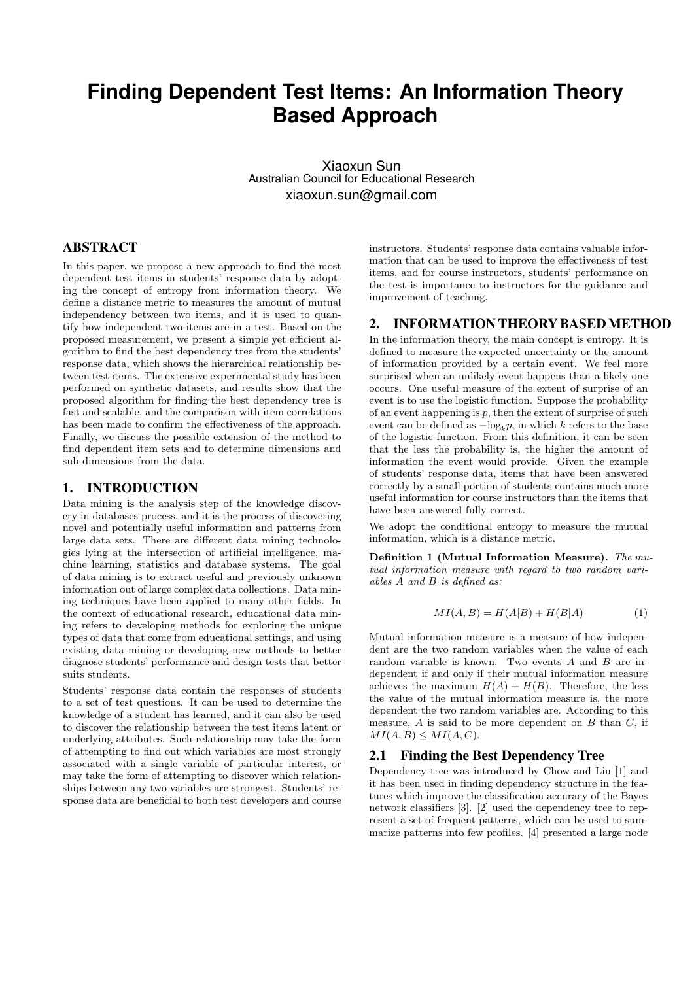# **Finding Dependent Test Items: An Information Theory Based Approach**

Xiaoxun Sun Australian Council for Educational Research xiaoxun.sun@gmail.com

## ABSTRACT

In this paper, we propose a new approach to find the most dependent test items in students' response data by adopting the concept of entropy from information theory. We define a distance metric to measures the amount of mutual independency between two items, and it is used to quantify how independent two items are in a test. Based on the proposed measurement, we present a simple yet efficient algorithm to find the best dependency tree from the students' response data, which shows the hierarchical relationship between test items. The extensive experimental study has been performed on synthetic datasets, and results show that the proposed algorithm for finding the best dependency tree is fast and scalable, and the comparison with item correlations has been made to confirm the effectiveness of the approach. Finally, we discuss the possible extension of the method to find dependent item sets and to determine dimensions and sub-dimensions from the data.

#### 1. INTRODUCTION

Data mining is the analysis step of the knowledge discovery in databases process, and it is the process of discovering novel and potentially useful information and patterns from large data sets. There are different data mining technologies lying at the intersection of artificial intelligence, machine learning, statistics and database systems. The goal of data mining is to extract useful and previously unknown information out of large complex data collections. Data mining techniques have been applied to many other fields. In the context of educational research, educational data mining refers to developing methods for exploring the unique types of data that come from educational settings, and using existing data mining or developing new methods to better diagnose students' performance and design tests that better suits students.

Students' response data contain the responses of students to a set of test questions. It can be used to determine the knowledge of a student has learned, and it can also be used to discover the relationship between the test items latent or underlying attributes. Such relationship may take the form of attempting to find out which variables are most strongly associated with a single variable of particular interest, or may take the form of attempting to discover which relationships between any two variables are strongest. Students' response data are beneficial to both test developers and course

instructors. Students' response data contains valuable information that can be used to improve the effectiveness of test items, and for course instructors, students' performance on the test is importance to instructors for the guidance and improvement of teaching.

## 2. INFORMATION THEORY BASEDMETHOD

In the information theory, the main concept is entropy. It is defined to measure the expected uncertainty or the amount of information provided by a certain event. We feel more surprised when an unlikely event happens than a likely one occurs. One useful measure of the extent of surprise of an event is to use the logistic function. Suppose the probability of an event happening is *p*, then the extent of surprise of such event can be defined as *−*log*kp*, in which *k* refers to the base of the logistic function. From this definition, it can be seen that the less the probability is, the higher the amount of information the event would provide. Given the example of students' response data, items that have been answered correctly by a small portion of students contains much more useful information for course instructors than the items that have been answered fully correct.

We adopt the conditional entropy to measure the mutual information, which is a distance metric.

**Definition 1 (Mutual Information Measure).** *The mutual information measure with regard to two random variables A and B is defined as:*

$$
MI(A, B) = H(A|B) + H(B|A)
$$
 (1)

Mutual information measure is a measure of how independent are the two random variables when the value of each random variable is known. Two events *A* and *B* are independent if and only if their mutual information measure achieves the maximum  $H(A) + H(B)$ . Therefore, the less the value of the mutual information measure is, the more dependent the two random variables are. According to this measure, *A* is said to be more dependent on *B* than *C*, if  $MI(A, B) \leq MI(A, C)$ .

#### 2.1 Finding the Best Dependency Tree

Dependency tree was introduced by Chow and Liu [1] and it has been used in finding dependency structure in the features which improve the classification accuracy of the Bayes network classifiers [3]. [2] used the dependency tree to represent a set of frequent patterns, which can be used to summarize patterns into few profiles. [4] presented a large node